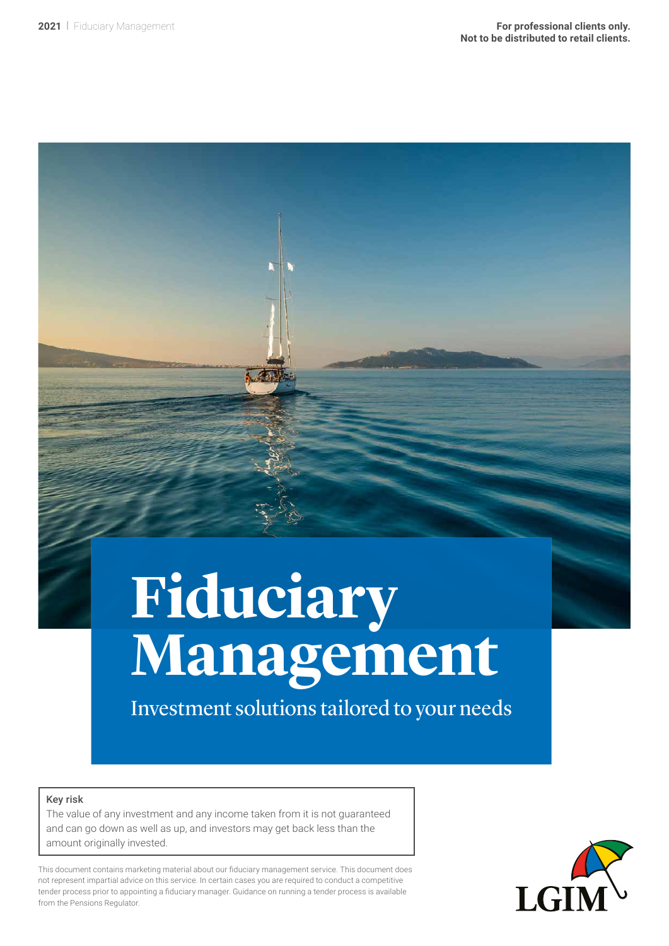# **Fiduciary Management**

Investment solutions tailored to your needs

#### Key risk

The value of any investment and any income taken from it is not guaranteed and can go down as well as up, and investors may get back less than the amount originally invested.

This document contains marketing material about our fiduciary management service. This document does not represent impartial advice on this service. In certain cases you are required to conduct a competitive tender process prior to appointing a fiduciary manager. Guidance on running a tender process is available from the Pensions Regulator.

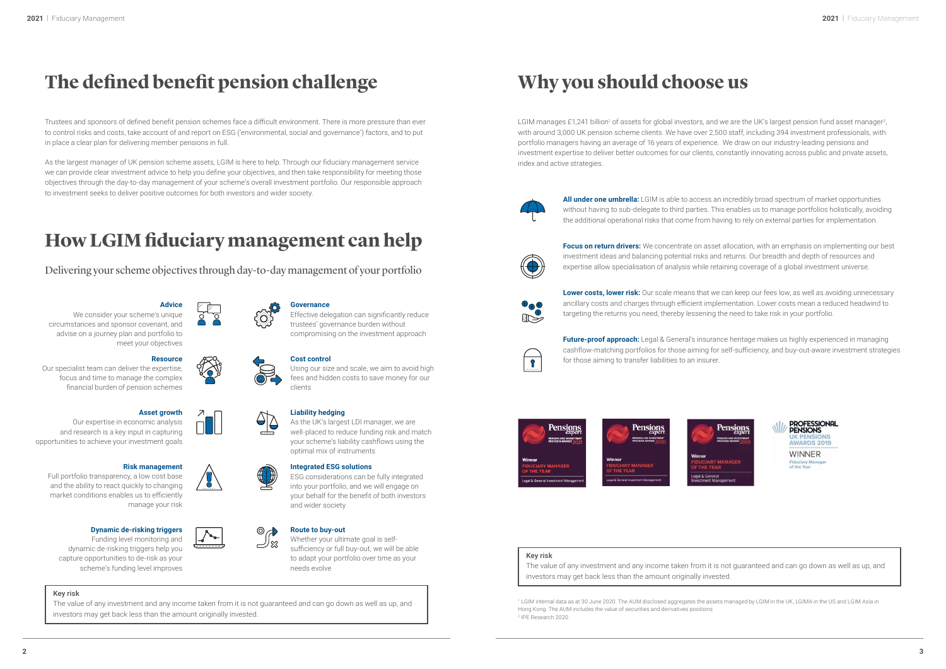



# **The defined benefit pension challenge**

Trustees and sponsors of defined benefit pension schemes face a difficult environment. There is more pressure than ever to control risks and costs, take account of and report on ESG ('environmental, social and governance') factors, and to put in place a clear plan for delivering member pensions in full.

As the largest manager of UK pension scheme assets, LGIM is here to help. Through our fiduciary management service we can provide clear investment advice to help you define your objectives, and then take responsibility for meeting those objectives through the day-to-day management of your scheme's overall investment portfolio. Our responsible approach to investment seeks to deliver positive outcomes for both investors and wider society.

LGIM manages £1,241 billion<sup>1</sup> of assets for global investors, and we are the UK's largest pension fund asset manager<sup>2</sup>, with around 3,000 UK pension scheme clients. We have over 2,500 staff, including 394 investment professionals, with portfolio managers having an average of 16 years of experience. We draw on our industry-leading pensions and investment expertise to deliver better outcomes for our clients, constantly innovating across public and private assets, index and active strategies.



## **How LGIM fiduciary management can help**

## **Why you should choose us**

**Focus on return drivers:** We concentrate on asset allocation, with an emphasis on implementing our best investment ideas and balancing potential risks and returns. Our breadth and depth of resources and expertise allow specialisation of analysis while retaining coverage of a global investment universe.

**Lower costs, lower risk:** Our scale means that we can keep our fees low, as well as avoiding unnecessary ancillary costs and charges through efficient implementation. Lower costs mean a reduced headwind to targeting the returns you need, thereby lessening the need to take risk in your portfolio.



**Future-proof approach:** Legal & General's insurance heritage makes us highly experienced in managing cashflow-matching portfolios for those aiming for self-sufficiency, and buy-out-aware investment strategies for those aiming to transfer liabilities to an insurer.



**All under one umbrella:** LGIM is able to access an incredibly broad spectrum of market opportunities without having to sub-delegate to third parties. This enables us to manage portfolios holistically, avoiding the additional operational risks that come from having to rely on external parties for implementation.



### **Advice**

We consider your scheme's unique circumstances and sponsor covenant, and advise on a journey plan and portfolio to meet your objectives

#### **Governance**

Effective delegation can significantly reduce trustees' governance burden without compromising on the investment approach

Whether your ultimate goal is selfsufficiency or full buy-out, we will be able to adapt your portfolio over time as your needs evolve

#### **Liability hedging**

As the UK's largest LDI manager, we are well-placed to reduce funding risk and match your scheme's liability cashflows using the optimal mix of instruments

#### **Asset growth**

 $\overline{\mathcal{A}}$ 

Our expertise in economic analysis and research is a key input in capturing opportunities to achieve your investment goals

#### **Risk management**

Full portfolio transparency, a low cost base and the ability to react quickly to changing market conditions enables us to efficiently manage your risk

#### **Resource**

Our specialist team can deliver the expertise, focus and time to manage the complex financial burden of pension schemes

#### **Cost control**

Using our size and scale, we aim to avoid high fees and hidden costs to save money for our clients

#### **Integrated ESG solutions**

ESG considerations can be fully integrated into your portfolio, and we will engage on your behalf for the benefit of both investors and wider society

#### $\circ$ **Route to buy-out** ่ ~⊅ ಜ

#### **Dynamic de-risking triggers**

Funding level monitoring and dynamic de-risking triggers help you capture opportunities to de-risk as your scheme's funding level improves

Delivering your scheme objectives through day-to-day management of your portfolio

1 LGIM internal data as at 30 June 2020. The AUM disclosed aggregates the assets managed by LGIM in the UK, LGIMA in the US and LGIM Asia in Hong Kong. The AUM includes the value of securities and derivatives positions 2 IPE Research 2020

#### Key risk

The value of any investment and any income taken from it is not guaranteed and can go down as well as up, and



 $\frac{1}{2}$ 



#### Key risk

The value of any investment and any income taken from it is not guaranteed and can go down as well as up, and investors may get back less than the amount originally invested.